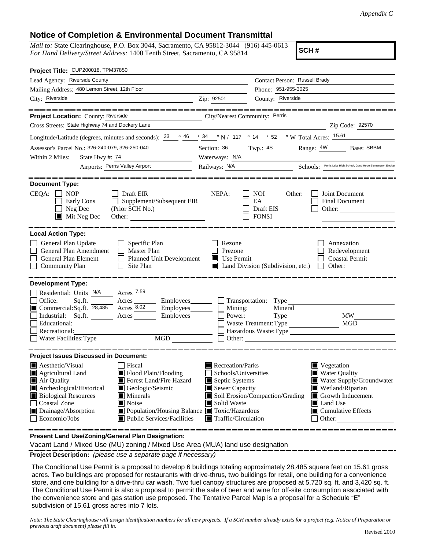## **Notice of Completion & Environmental Document Transmittal**

*Mail to:* State Clearinghouse, P.O. Box 3044, Sacramento, CA 95812-3044 (916) 445-0613 *For Hand Delivery/Street Address:* 1400 Tenth Street, Sacramento, CA 95814

**SCH #**

| Project Title: CUP200018, TPM37850                                                                                                                                                                                                                                                                                                                                                                        |                                                                                                                                                  |                                                         |                                                                                                                                                                                  |
|-----------------------------------------------------------------------------------------------------------------------------------------------------------------------------------------------------------------------------------------------------------------------------------------------------------------------------------------------------------------------------------------------------------|--------------------------------------------------------------------------------------------------------------------------------------------------|---------------------------------------------------------|----------------------------------------------------------------------------------------------------------------------------------------------------------------------------------|
| Lead Agency: Riverside County                                                                                                                                                                                                                                                                                                                                                                             |                                                                                                                                                  | Contact Person: Russell Brady                           |                                                                                                                                                                                  |
| Mailing Address: 480 Lemon Street, 12th Floor                                                                                                                                                                                                                                                                                                                                                             |                                                                                                                                                  | Phone: 951-955-3025                                     |                                                                                                                                                                                  |
| City: Riverside                                                                                                                                                                                                                                                                                                                                                                                           | Zip: 92501                                                                                                                                       | County: Riverside                                       |                                                                                                                                                                                  |
| Project Location: County: Riverside<br>City/Nearest Community: Perris                                                                                                                                                                                                                                                                                                                                     |                                                                                                                                                  |                                                         |                                                                                                                                                                                  |
| Cross Streets: State Highway 74 and Dockery Lane                                                                                                                                                                                                                                                                                                                                                          |                                                                                                                                                  |                                                         | Zip Code: 92570                                                                                                                                                                  |
| Longitude/Latitude (degrees, minutes and seconds): $33 \cdot 946$ / $34 \cdot 17$ / 117 $\cdot 14$ / 52 / W Total Acres: $15.61$                                                                                                                                                                                                                                                                          |                                                                                                                                                  |                                                         |                                                                                                                                                                                  |
| Assessor's Parcel No.: 326-240-079, 326-250-040<br><u> 1990 - Jan Barnett, p</u>                                                                                                                                                                                                                                                                                                                          |                                                                                                                                                  | Section: $\frac{36}{100}$ Twp.: $\frac{4S}{100}$        | Range: 4W<br>Base: SBBM                                                                                                                                                          |
| State Hwy #: 74<br>Within 2 Miles:<br><u> 1990 - John Barn Barn, amerikansk politiker</u>                                                                                                                                                                                                                                                                                                                 | Waterways: N/A                                                                                                                                   |                                                         |                                                                                                                                                                                  |
| Airports: Perris Valley Airport                                                                                                                                                                                                                                                                                                                                                                           |                                                                                                                                                  |                                                         | Railways: N/A Schools: Perris Lake High School, Good Hope Elementary, Enchan                                                                                                     |
|                                                                                                                                                                                                                                                                                                                                                                                                           |                                                                                                                                                  |                                                         |                                                                                                                                                                                  |
| <b>Document Type:</b><br>$CEQA: \Box NOP$<br>$\Box$ Draft EIR<br>Supplement/Subsequent EIR<br>Early Cons<br>$\Box$<br>$\Box$ Neg Dec<br>$\blacksquare$ Mit Neg Dec<br>Other:                                                                                                                                                                                                                              | NEPA:                                                                                                                                            | <b>NOI</b><br>Other:<br>EA<br>Draft EIS<br><b>FONSI</b> | Joint Document<br>Final Document<br>Other: $\qquad \qquad$                                                                                                                       |
| <b>Local Action Type:</b>                                                                                                                                                                                                                                                                                                                                                                                 |                                                                                                                                                  |                                                         |                                                                                                                                                                                  |
| General Plan Update<br>$\Box$ Specific Plan<br>$\Box$<br>General Plan Amendment<br>Master Plan<br>Planned Unit Development<br>General Plan Element<br>$\Box$ Site Plan<br><b>Community Plan</b>                                                                                                                                                                                                           | Rezone<br>Prezone<br>$\blacksquare$ Use Permit                                                                                                   | $\blacksquare$ Land Division (Subdivision, etc.)        | Annexation<br>Redevelopment<br><b>Coastal Permit</b><br>$\Box$ Other:                                                                                                            |
| <b>Development Type:</b><br>Residential: Units N/A Acres 7.59<br>Office:<br>Acres <u>_________</u> Employees ________<br>Sq.ft.<br>Commercial:Sq.ft. 28,485 Acres 8.02<br>$\equiv$ Employees<br>Industrial: Sq.ft. _______ Acres _______ Employees_______<br>Educational:<br>Recreational:<br>MGD<br>$\Box$ Water Facilities: Type                                                                        | $\Box$<br>Power:                                                                                                                                 | Mining:<br>Waste Treatment: Type                        | MW<br>MGD<br>Hazardous Waste:Type<br>$\Box$ Other:                                                                                                                               |
|                                                                                                                                                                                                                                                                                                                                                                                                           |                                                                                                                                                  |                                                         |                                                                                                                                                                                  |
| <b>Project Issues Discussed in Document:</b>                                                                                                                                                                                                                                                                                                                                                              |                                                                                                                                                  |                                                         |                                                                                                                                                                                  |
| $\blacksquare$ Aesthetic/Visual<br>  Fiscal<br>Flood Plain/Flooding<br>$\blacksquare$ Agricultural Land<br>Forest Land/Fire Hazard<br>Air Quality<br>Archeological/Historical<br>Geologic/Seismic<br>П<br><b>Biological Resources</b><br>Minerals<br><b>Coastal Zone</b><br>■ Noise<br>Population/Housing Balance Toxic/Hazardous<br>Drainage/Absorption<br>Economic/Jobs<br>■ Public Services/Facilities | $\blacksquare$ Recreation/Parks<br>Schools/Universities<br>Septic Systems<br>Sewer Capacity<br>Solid Waste<br>$\blacksquare$ Traffic/Circulation | Soil Erosion/Compaction/Grading                         | Vegetation<br><b>Water Quality</b><br>L<br>Water Supply/Groundwater<br>Wetland/Riparian<br>Growth Inducement<br><b>■</b> Land Use<br>$\blacksquare$ Cumulative Effects<br>Other: |

**Present Land Use/Zoning/General Plan Designation:**

Vacant Land / Mixed Use (MU) zoning / Mixed Use Area (MUA) land use designation

**Project Description:** *(please use a separate page if necessary)*

 The Conditional Use Permit is a proposal to develop 6 buildings totaling approximately 28,485 square feet on 15.61 gross acres. Two buildings are proposed for restaurants with drive-thrus, two buildings for retail, one building for a convenience store, and one building for a drive-thru car wash. Two fuel canopy structures are proposed at 5,720 sq. ft. and 3,420 sq. ft. The Conditional Use Permit is also a proposal to permit the sale of beer and wine for off-site consumption associated with the convenience store and gas station use proposed. The Tentative Parcel Map is a proposal for a Schedule "E" subdivision of 15.61 gross acres into 7 lots.

*Note: The State Clearinghouse will assign identification numbers for all new projects. If a SCH number already exists for a project (e.g. Notice of Preparation or previous draft document) please fill in.*